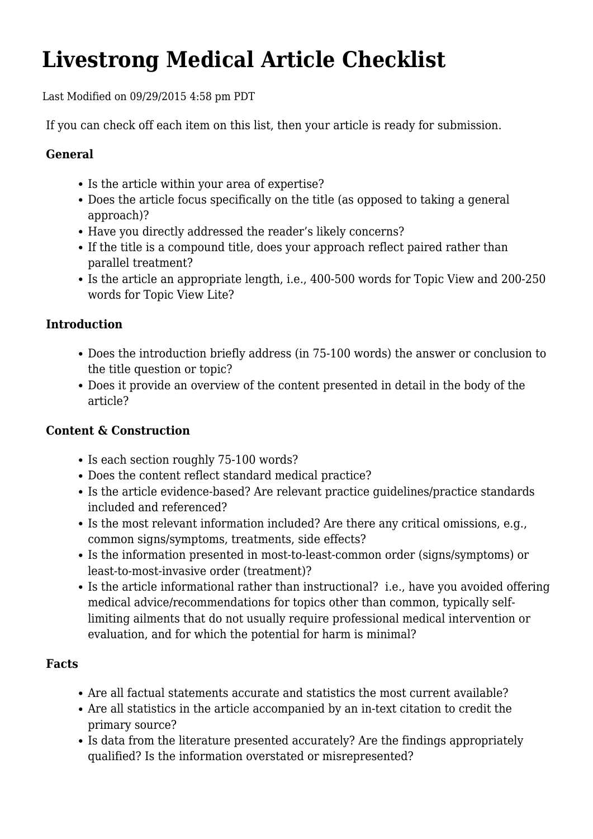# **Livestrong Medical Article Checklist**

Last Modified on 09/29/2015 4:58 pm PDT

If you can check off each item on this list, then your article is ready for submission.

## **General**

- Is the article within your area of expertise?
- Does the article focus specifically on the title (as opposed to taking a general approach)?
- Have you directly addressed the reader's likely concerns?
- If the title is a compound title, does your approach reflect paired rather than parallel treatment?
- Is the article an appropriate length, i.e., 400-500 words for Topic View and 200-250 words for Topic View Lite?

## **Introduction**

- Does the introduction briefly address (in 75-100 words) the answer or conclusion to the title question or topic?
- Does it provide an overview of the content presented in detail in the body of the article?

## **Content & Construction**

- Is each section roughly 75-100 words?
- Does the content reflect standard medical practice?
- Is the article evidence-based? Are relevant practice guidelines/practice standards included and referenced?
- Is the most relevant information included? Are there any critical omissions, e.g., common signs/symptoms, treatments, side effects?
- Is the information presented in most-to-least-common order (signs/symptoms) or least-to-most-invasive order (treatment)?
- Is the article informational rather than instructional? i.e., have you avoided offering medical advice/recommendations for topics other than common, typically selflimiting ailments that do not usually require professional medical intervention or evaluation, and for which the potential for harm is minimal?

### **Facts**

- Are all factual statements accurate and statistics the most current available?
- Are all statistics in the article accompanied by an in-text citation to credit the primary source?
- Is data from the literature presented accurately? Are the findings appropriately qualified? Is the information overstated or misrepresented?